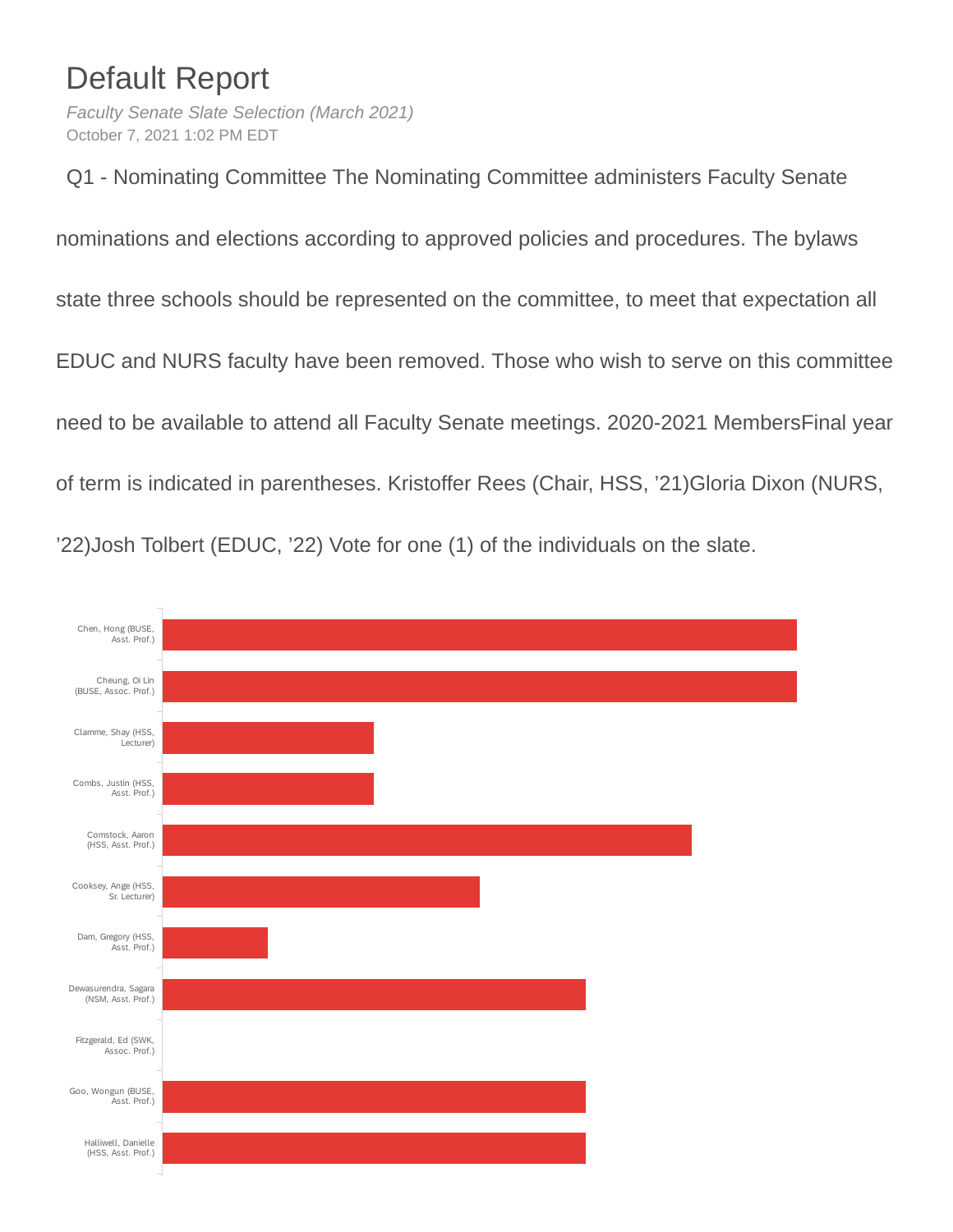## Default Report

*Faculty Senate Slate Selection (March 2021)* October 7, 2021 1:02 PM EDT

Q1 - Nominating Committee The Nominating Committee administers Faculty Senate

nominations and elections according to approved policies and procedures. The bylaws

state three schools should be represented on the committee, to meet that expectation all

EDUC and NURS faculty have been removed. Those who wish to serve on this committee

need to be available to attend all Faculty Senate meetings. 2020-2021 MembersFinal year

of term is indicated in parentheses. Kristoffer Rees (Chair, HSS, '21)Gloria Dixon (NURS,

'22)Josh Tolbert (EDUC, '22) Vote for one (1) of the individuals on the slate.

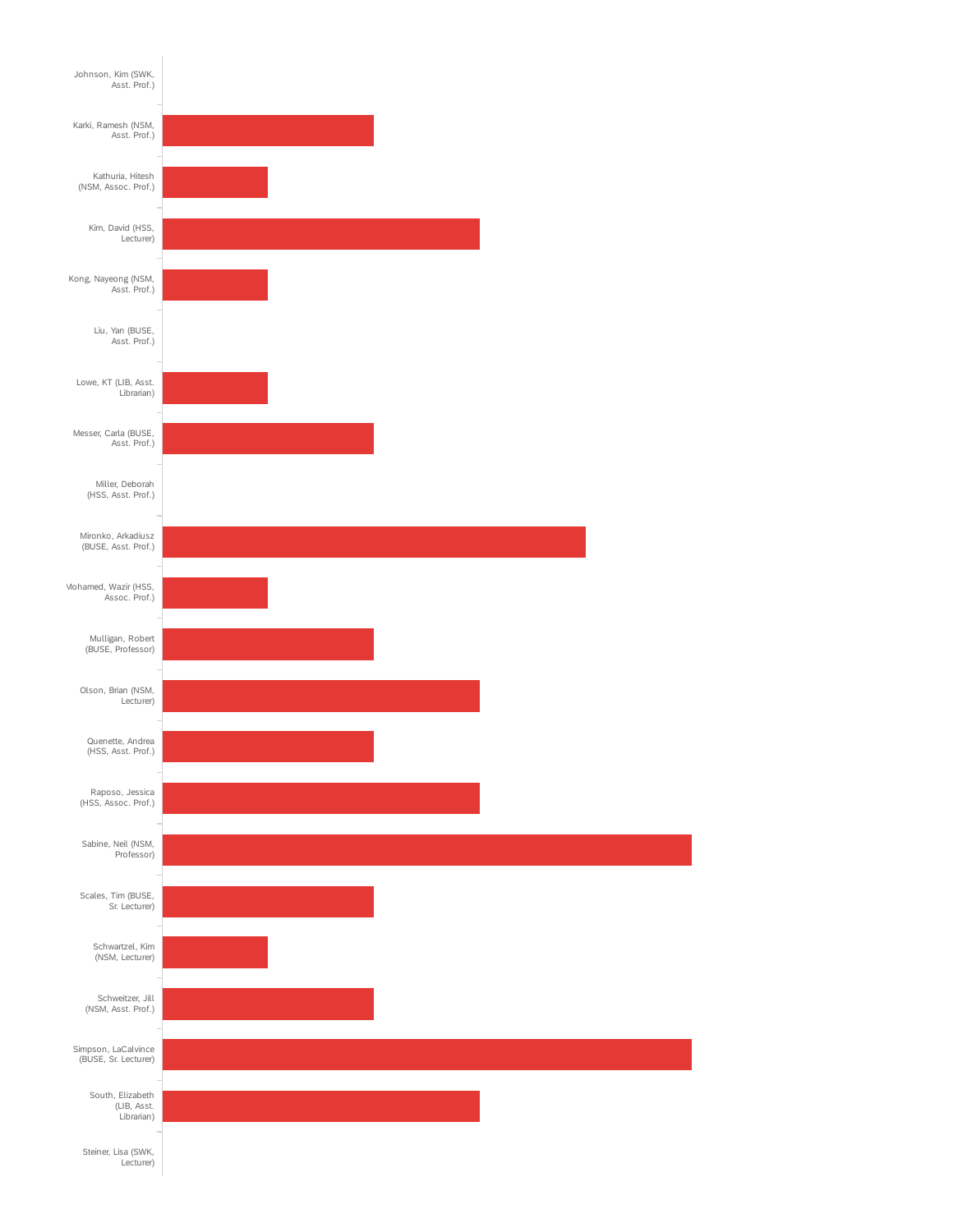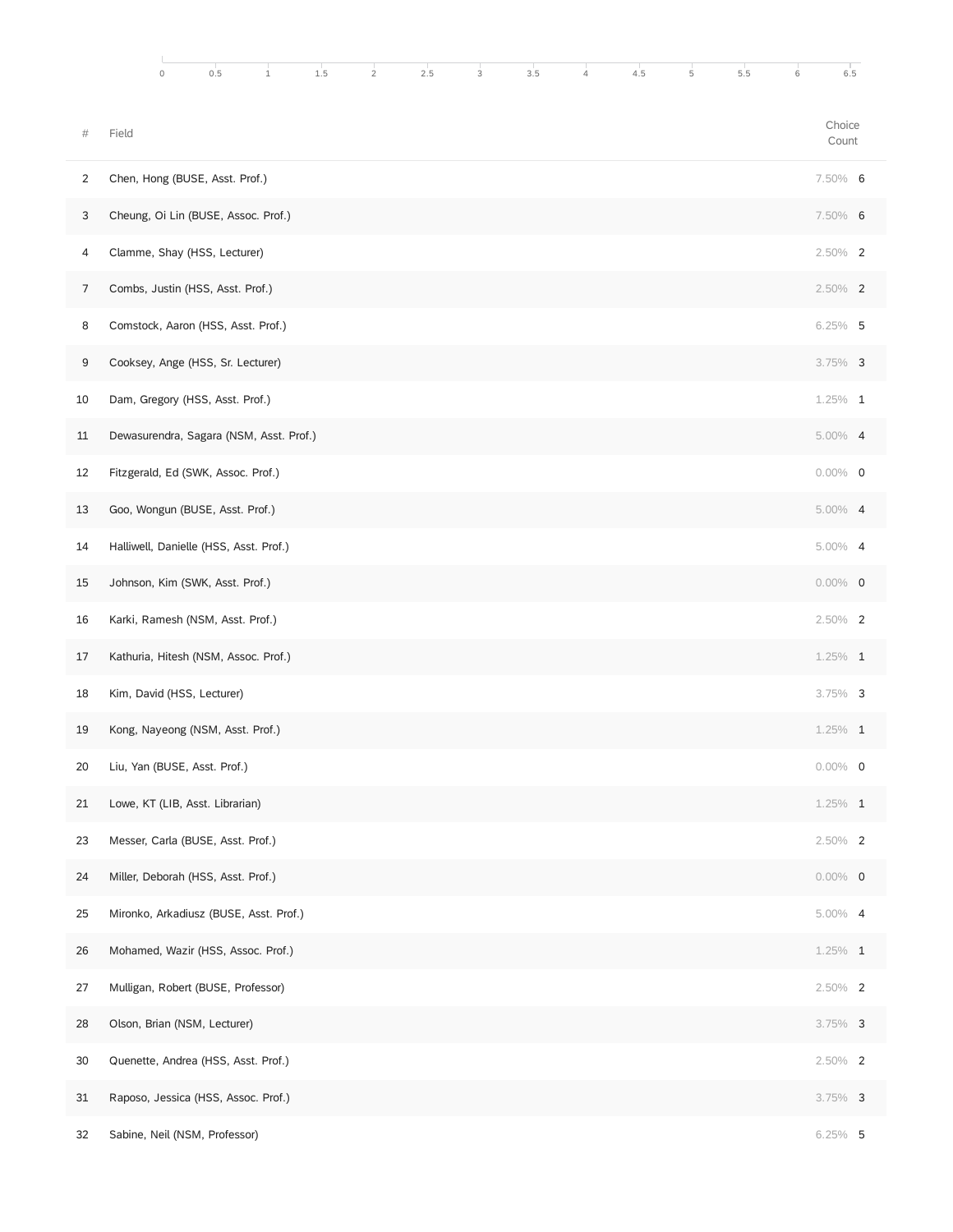|      | $\mathbb O$<br>0.5<br>$1\,$             | 1.5 | $\overline{2}$ | 2.5 | 3 | 3.5 | $\overline{4}$ | 4.5 | 5 | 5.5 | 6 | 6.5             |  |
|------|-----------------------------------------|-----|----------------|-----|---|-----|----------------|-----|---|-----|---|-----------------|--|
| $\#$ | Field                                   |     |                |     |   |     |                |     |   |     |   | Choice<br>Count |  |
| 2    | Chen, Hong (BUSE, Asst. Prof.)          |     |                |     |   |     |                |     |   |     |   | 7.50% 6         |  |
| 3    | Cheung, Oi Lin (BUSE, Assoc. Prof.)     |     |                |     |   |     |                |     |   |     |   | 7.50% 6         |  |
| 4    | Clamme, Shay (HSS, Lecturer)            |     |                |     |   |     |                |     |   |     |   | 2.50% 2         |  |
| 7    | Combs, Justin (HSS, Asst. Prof.)        |     |                |     |   |     |                |     |   |     |   | 2.50% 2         |  |
| 8    | Comstock, Aaron (HSS, Asst. Prof.)      |     |                |     |   |     |                |     |   |     |   | $6.25\%$ 5      |  |
| 9    | Cooksey, Ange (HSS, Sr. Lecturer)       |     |                |     |   |     |                |     |   |     |   | $3.75\%$ 3      |  |
| 10   | Dam, Gregory (HSS, Asst. Prof.)         |     |                |     |   |     |                |     |   |     |   | $1.25\%$ 1      |  |
| 11   | Dewasurendra, Sagara (NSM, Asst. Prof.) |     |                |     |   |     |                |     |   |     |   | 5.00% 4         |  |
| 12   | Fitzgerald, Ed (SWK, Assoc. Prof.)      |     |                |     |   |     |                |     |   |     |   | $0.00\%$ 0      |  |
| 13   | Goo, Wongun (BUSE, Asst. Prof.)         |     |                |     |   |     |                |     |   |     |   | $5.00\%$ 4      |  |
| 14   | Halliwell, Danielle (HSS, Asst. Prof.)  |     |                |     |   |     |                |     |   |     |   | $5.00\%$ 4      |  |
| 15   | Johnson, Kim (SWK, Asst. Prof.)         |     |                |     |   |     |                |     |   |     |   | $0.00\%$ 0      |  |
| 16   | Karki, Ramesh (NSM, Asst. Prof.)        |     |                |     |   |     |                |     |   |     |   | 2.50% 2         |  |
| 17   | Kathuria, Hitesh (NSM, Assoc. Prof.)    |     |                |     |   |     |                |     |   |     |   | $1.25\%$ 1      |  |
| 18   | Kim, David (HSS, Lecturer)              |     |                |     |   |     |                |     |   |     |   | $3.75\%$ 3      |  |
| 19   | Kong, Nayeong (NSM, Asst. Prof.)        |     |                |     |   |     |                |     |   |     |   | $1.25\%$ 1      |  |
| 20   | Liu, Yan (BUSE, Asst. Prof.)            |     |                |     |   |     |                |     |   |     |   | $0.00\%$ 0      |  |
| 21   | Lowe, KT (LIB, Asst. Librarian)         |     |                |     |   |     |                |     |   |     |   | $1.25\%$ 1      |  |
| 23   | Messer, Carla (BUSE, Asst. Prof.)       |     |                |     |   |     |                |     |   |     |   | $2.50\%$ 2      |  |
| 24   | Miller, Deborah (HSS, Asst. Prof.)      |     |                |     |   |     |                |     |   |     |   | $0.00\%$ 0      |  |
| 25   | Mironko, Arkadiusz (BUSE, Asst. Prof.)  |     |                |     |   |     |                |     |   |     |   | $5.00\%$ 4      |  |
| 26   | Mohamed, Wazir (HSS, Assoc. Prof.)      |     |                |     |   |     |                |     |   |     |   | $1.25\%$ 1      |  |
| 27   | Mulligan, Robert (BUSE, Professor)      |     |                |     |   |     |                |     |   |     |   | 2.50% 2         |  |
| 28   | Olson, Brian (NSM, Lecturer)            |     |                |     |   |     |                |     |   |     |   | $3.75\%$ 3      |  |
| 30   | Quenette, Andrea (HSS, Asst. Prof.)     |     |                |     |   |     |                |     |   |     |   | 2.50% 2         |  |
| 31   | Raposo, Jessica (HSS, Assoc. Prof.)     |     |                |     |   |     |                |     |   |     |   | $3.75\%$ 3      |  |
| 32   | Sabine, Neil (NSM, Professor)           |     |                |     |   |     |                |     |   |     |   | $6.25%$ 5       |  |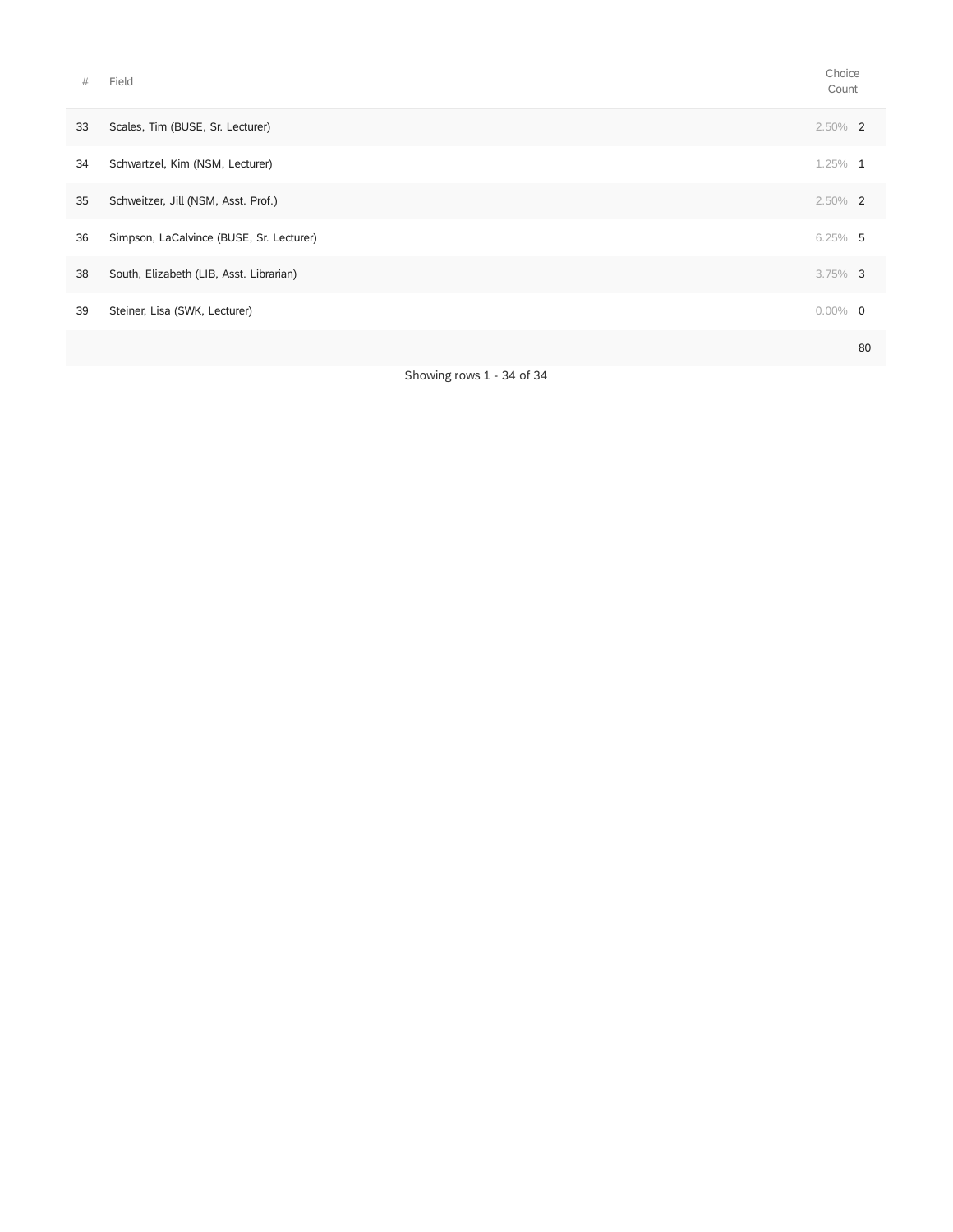| #  | Field                                    | Choice<br>Count |    |
|----|------------------------------------------|-----------------|----|
| 33 | Scales, Tim (BUSE, Sr. Lecturer)         | $2.50\%$ 2      |    |
| 34 | Schwartzel, Kim (NSM, Lecturer)          | $1.25\%$ 1      |    |
| 35 | Schweitzer, Jill (NSM, Asst. Prof.)      | $2.50\%$ 2      |    |
| 36 | Simpson, LaCalvince (BUSE, Sr. Lecturer) | $6.25\%$ 5      |    |
| 38 | South, Elizabeth (LIB, Asst. Librarian)  | $3.75\%$ 3      |    |
| 39 | Steiner, Lisa (SWK, Lecturer)            | $0.00\%$ 0      |    |
|    |                                          |                 | 80 |

Showing rows 1 - 34 of 34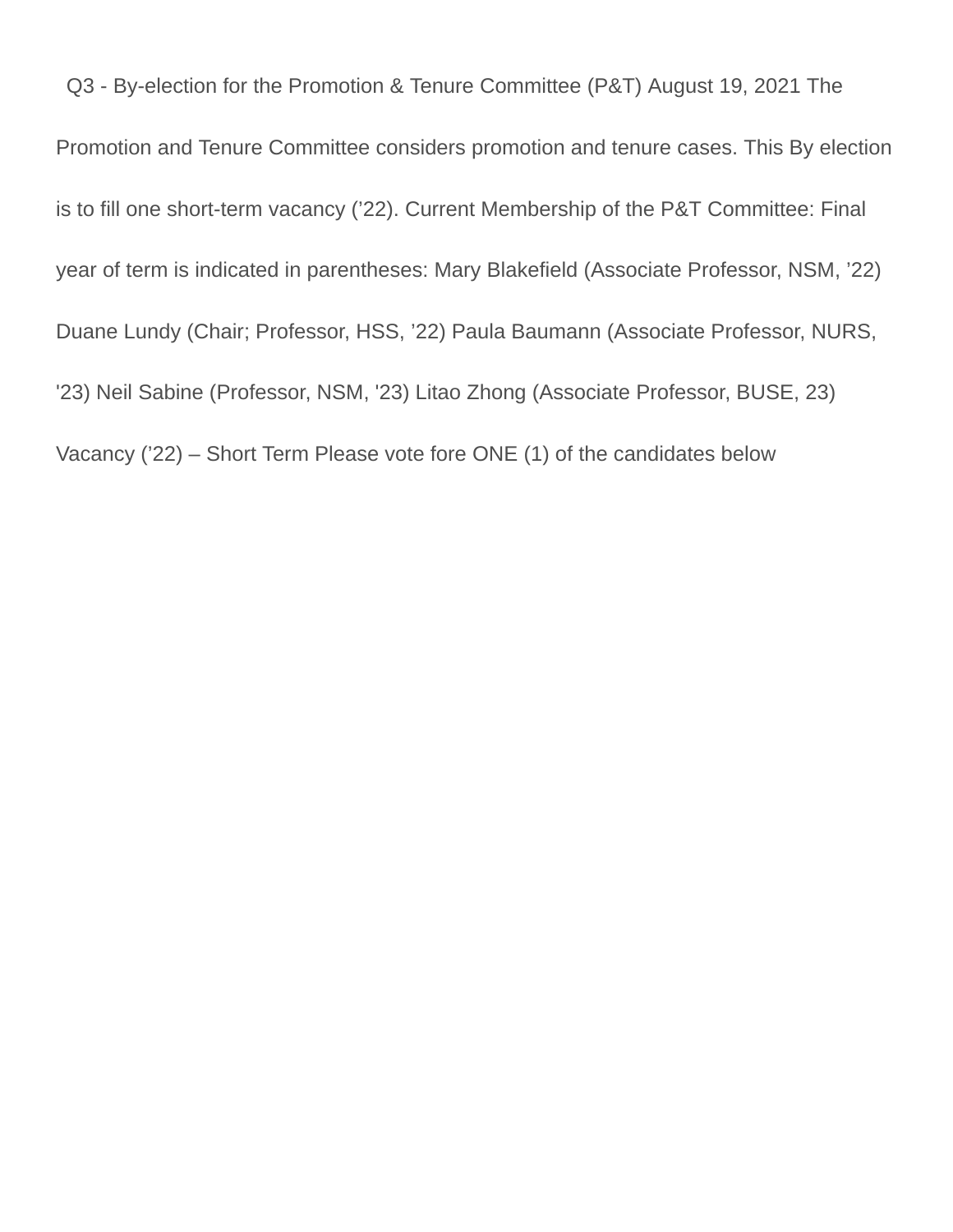Q3 - By-election for the Promotion & Tenure Committee (P&T) August 19, 2021 The Promotion and Tenure Committee considers promotion and tenure cases. This By election is to fill one short-term vacancy ('22). Current Membership of the P&T Committee: Final year of term is indicated in parentheses: Mary Blakefield (Associate Professor, NSM, '22) Duane Lundy (Chair; Professor, HSS, '22) Paula Baumann (Associate Professor, NURS, '23) Neil Sabine (Professor, NSM, '23) Litao Zhong (Associate Professor, BUSE, 23) Vacancy ('22) – Short Term Please vote fore ONE (1) of the candidates below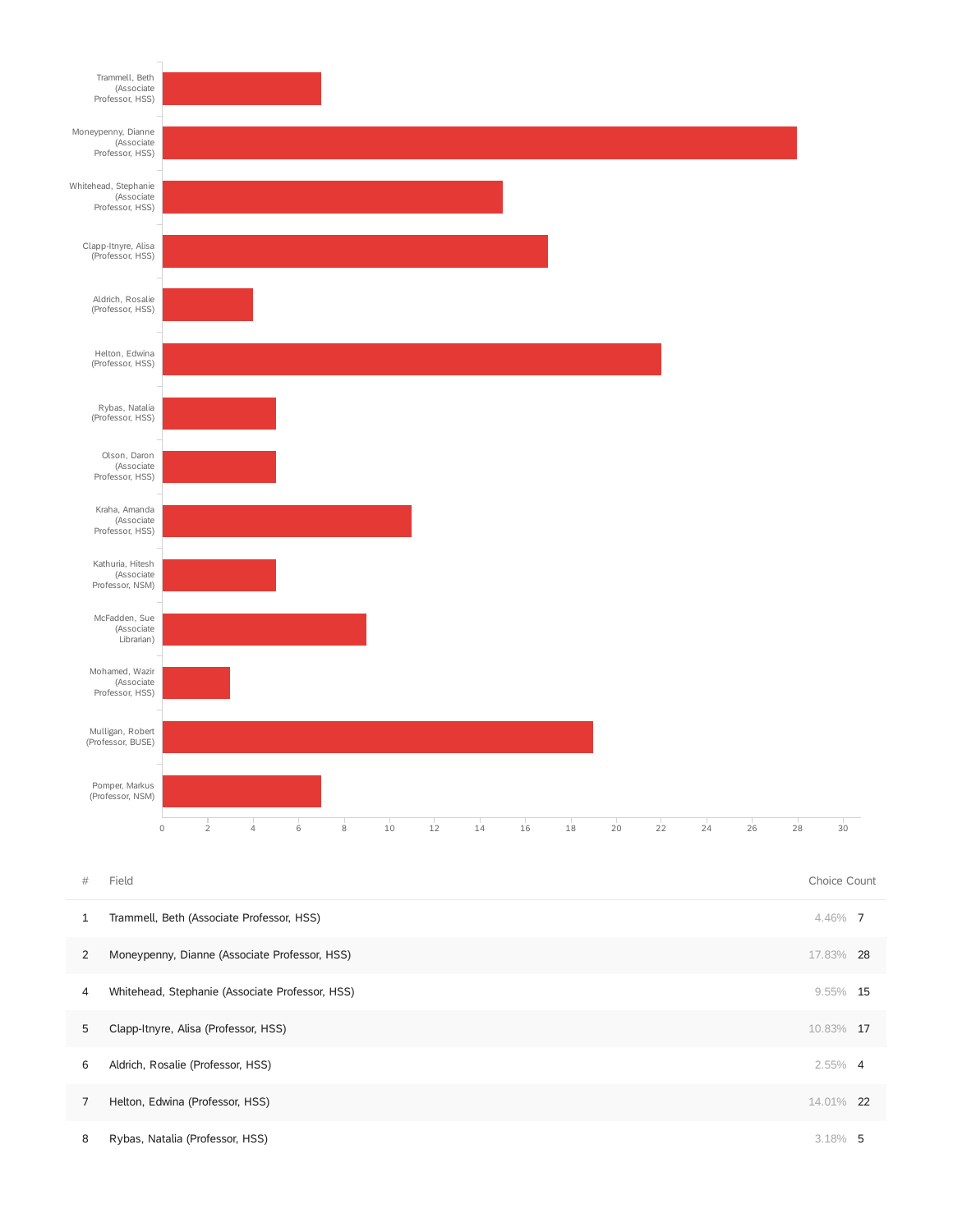

# Field Choice Count

| 1 | Trammell, Beth (Associate Professor, HSS)       | 4.46% 7    |    |
|---|-------------------------------------------------|------------|----|
| 2 | Moneypenny, Dianne (Associate Professor, HSS)   | 17.83% 28  |    |
| 4 | Whitehead, Stephanie (Associate Professor, HSS) | 9.55% 15   |    |
| 5 | Clapp-Itnyre, Alisa (Professor, HSS)            | 10.83% 17  |    |
| 6 | Aldrich, Rosalie (Professor, HSS)               | $2.55\%$ 4 |    |
| 7 | Helton, Edwina (Professor, HSS)                 | 14.01%     | 22 |
| 8 | Rybas, Natalia (Professor, HSS)                 | 3.18%      | 5  |